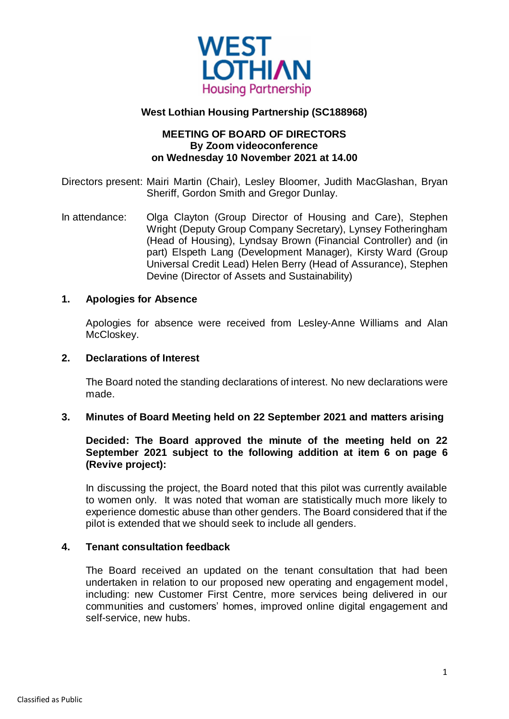

# **West Lothian Housing Partnership (SC188968)**

## **MEETING OF BOARD OF DIRECTORS By Zoom videoconference on Wednesday 10 November 2021 at 14.00**

Directors present: Mairi Martin (Chair), Lesley Bloomer, Judith MacGlashan, Bryan Sheriff, Gordon Smith and Gregor Dunlay.

In attendance: Olga Clayton (Group Director of Housing and Care), Stephen Wright (Deputy Group Company Secretary), Lynsey Fotheringham (Head of Housing), Lyndsay Brown (Financial Controller) and (in part) Elspeth Lang (Development Manager), Kirsty Ward (Group Universal Credit Lead) Helen Berry (Head of Assurance), Stephen Devine (Director of Assets and Sustainability)

### **1. Apologies for Absence**

Apologies for absence were received from Lesley-Anne Williams and Alan McCloskey.

#### **2. Declarations of Interest**

The Board noted the standing declarations of interest. No new declarations were made.

### **3. Minutes of Board Meeting held on 22 September 2021 and matters arising**

## **Decided: The Board approved the minute of the meeting held on 22 September 2021 subject to the following addition at item 6 on page 6 (Revive project):**

In discussing the project, the Board noted that this pilot was currently available to women only. It was noted that woman are statistically much more likely to experience domestic abuse than other genders. The Board considered that if the pilot is extended that we should seek to include all genders.

## **4. Tenant consultation feedback**

The Board received an updated on the tenant consultation that had been undertaken in relation to our proposed new operating and engagement model, including: new Customer First Centre, more services being delivered in our communities and customers' homes, improved online digital engagement and self-service, new hubs.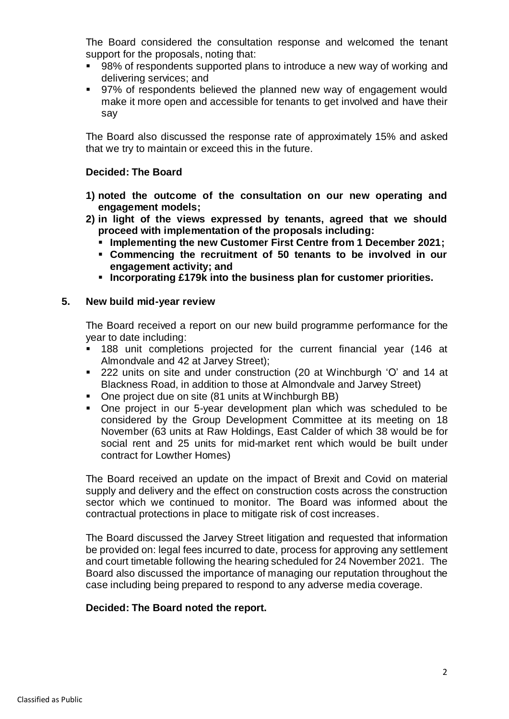The Board considered the consultation response and welcomed the tenant support for the proposals, noting that:

- 98% of respondents supported plans to introduce a new way of working and delivering services; and
- 97% of respondents believed the planned new way of engagement would make it more open and accessible for tenants to get involved and have their say

The Board also discussed the response rate of approximately 15% and asked that we try to maintain or exceed this in the future.

## **Decided: The Board**

- **1) noted the outcome of the consultation on our new operating and engagement models;**
- **2) in light of the views expressed by tenants, agreed that we should proceed with implementation of the proposals including:**
	- **Implementing the new Customer First Centre from 1 December 2021;**
	- **Commencing the recruitment of 50 tenants to be involved in our engagement activity; and**
	- **Incorporating £179k into the business plan for customer priorities.**

## **5. New build mid-year review**

The Board received a report on our new build programme performance for the year to date including:

- 188 unit completions projected for the current financial year (146 at Almondvale and 42 at Jarvey Street);
- 222 units on site and under construction (20 at Winchburgh 'O' and 14 at Blackness Road, in addition to those at Almondvale and Jarvey Street)
- One project due on site (81 units at Winchburgh BB)
- One project in our 5-year development plan which was scheduled to be considered by the Group Development Committee at its meeting on 18 November (63 units at Raw Holdings, East Calder of which 38 would be for social rent and 25 units for mid-market rent which would be built under contract for Lowther Homes)

The Board received an update on the impact of Brexit and Covid on material supply and delivery and the effect on construction costs across the construction sector which we continued to monitor. The Board was informed about the contractual protections in place to mitigate risk of cost increases.

The Board discussed the Jarvey Street litigation and requested that information be provided on: legal fees incurred to date, process for approving any settlement and court timetable following the hearing scheduled for 24 November 2021. The Board also discussed the importance of managing our reputation throughout the case including being prepared to respond to any adverse media coverage.

# **Decided: The Board noted the report.**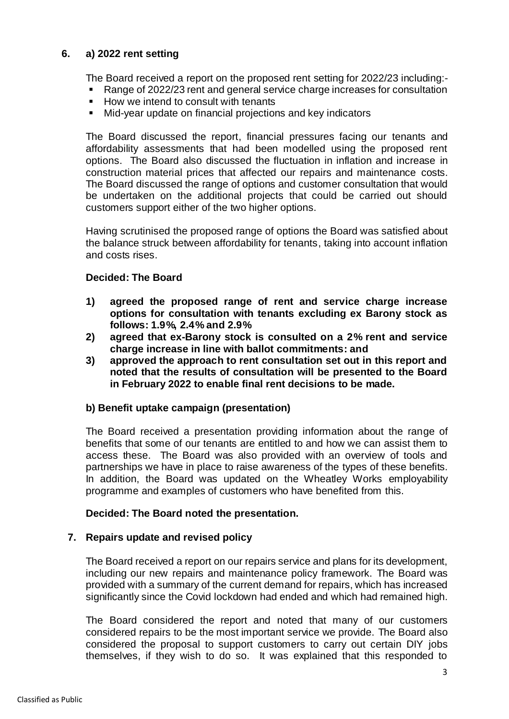## **6. a) 2022 rent setting**

The Board received a report on the proposed rent setting for 2022/23 including:-

- Range of 2022/23 rent and general service charge increases for consultation
- How we intend to consult with tenants
- Mid-year update on financial projections and key indicators

The Board discussed the report, financial pressures facing our tenants and affordability assessments that had been modelled using the proposed rent options. The Board also discussed the fluctuation in inflation and increase in construction material prices that affected our repairs and maintenance costs. The Board discussed the range of options and customer consultation that would be undertaken on the additional projects that could be carried out should customers support either of the two higher options.

Having scrutinised the proposed range of options the Board was satisfied about the balance struck between affordability for tenants, taking into account inflation and costs rises.

## **Decided: The Board**

- **1) agreed the proposed range of rent and service charge increase options for consultation with tenants excluding ex Barony stock as follows: 1.9%, 2.4% and 2.9%**
- **2) agreed that ex-Barony stock is consulted on a 2% rent and service charge increase in line with ballot commitments: and**
- **3) approved the approach to rent consultation set out in this report and noted that the results of consultation will be presented to the Board in February 2022 to enable final rent decisions to be made.**

# **b) Benefit uptake campaign (presentation)**

The Board received a presentation providing information about the range of benefits that some of our tenants are entitled to and how we can assist them to access these. The Board was also provided with an overview of tools and partnerships we have in place to raise awareness of the types of these benefits. In addition, the Board was updated on the Wheatley Works employability programme and examples of customers who have benefited from this.

## **Decided: The Board noted the presentation.**

## **7. Repairs update and revised policy**

The Board received a report on our repairs service and plans for its development, including our new repairs and maintenance policy framework. The Board was provided with a summary of the current demand for repairs, which has increased significantly since the Covid lockdown had ended and which had remained high.

The Board considered the report and noted that many of our customers considered repairs to be the most important service we provide. The Board also considered the proposal to support customers to carry out certain DIY jobs themselves, if they wish to do so. It was explained that this responded to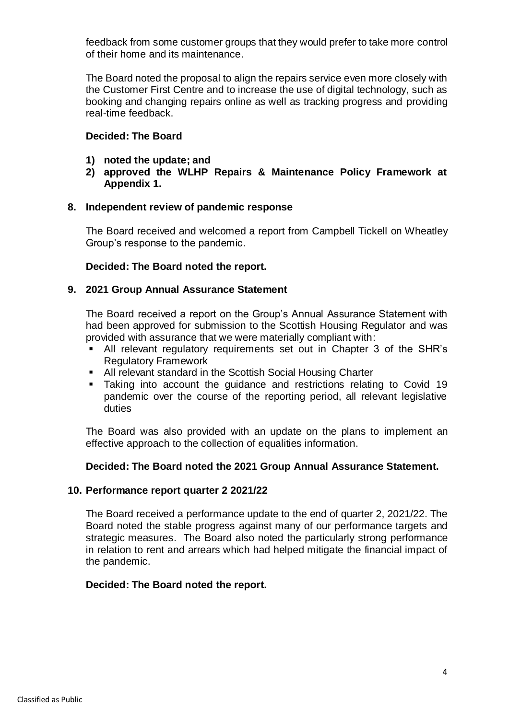feedback from some customer groups that they would prefer to take more control of their home and its maintenance.

The Board noted the proposal to align the repairs service even more closely with the Customer First Centre and to increase the use of digital technology, such as booking and changing repairs online as well as tracking progress and providing real-time feedback.

### **Decided: The Board**

- **1) noted the update; and**
- **2) approved the WLHP Repairs & Maintenance Policy Framework at Appendix 1.**

### **8. Independent review of pandemic response**

The Board received and welcomed a report from Campbell Tickell on Wheatley Group's response to the pandemic.

## **Decided: The Board noted the report.**

### **9. 2021 Group Annual Assurance Statement**

The Board received a report on the Group's Annual Assurance Statement with had been approved for submission to the Scottish Housing Regulator and was provided with assurance that we were materially compliant with:

- All relevant regulatory requirements set out in Chapter 3 of the SHR's Regulatory Framework
- **All relevant standard in the Scottish Social Housing Charter**
- **Taking into account the guidance and restrictions relating to Covid 19** pandemic over the course of the reporting period, all relevant legislative duties

The Board was also provided with an update on the plans to implement an effective approach to the collection of equalities information.

#### **Decided: The Board noted the 2021 Group Annual Assurance Statement.**

#### **10. Performance report quarter 2 2021/22**

The Board received a performance update to the end of quarter 2, 2021/22. The Board noted the stable progress against many of our performance targets and strategic measures. The Board also noted the particularly strong performance in relation to rent and arrears which had helped mitigate the financial impact of the pandemic.

#### **Decided: The Board noted the report.**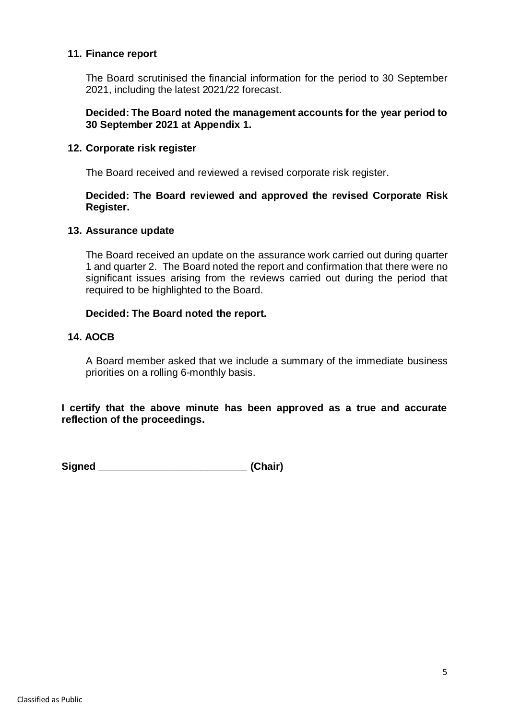### **11. Finance report**

The Board scrutinised the financial information for the period to 30 September 2021, including the latest 2021/22 forecast.

## **Decided: The Board noted the management accounts for the year period to 30 September 2021 at Appendix 1.**

### **12. Corporate risk register**

The Board received and reviewed a revised corporate risk register.

### **Decided: The Board reviewed and approved the revised Corporate Risk Register.**

### **13. Assurance update**

The Board received an update on the assurance work carried out during quarter 1 and quarter 2. The Board noted the report and confirmation that there were no significant issues arising from the reviews carried out during the period that required to be highlighted to the Board.

### **Decided: The Board noted the report.**

### **14. AOCB**

A Board member asked that we include a summary of the immediate business priorities on a rolling 6-monthly basis.

**I certify that the above minute has been approved as a true and accurate reflection of the proceedings.**

**Signed \_\_\_\_\_\_\_\_\_\_\_\_\_\_\_\_\_\_\_\_\_\_\_\_\_\_ (Chair)**